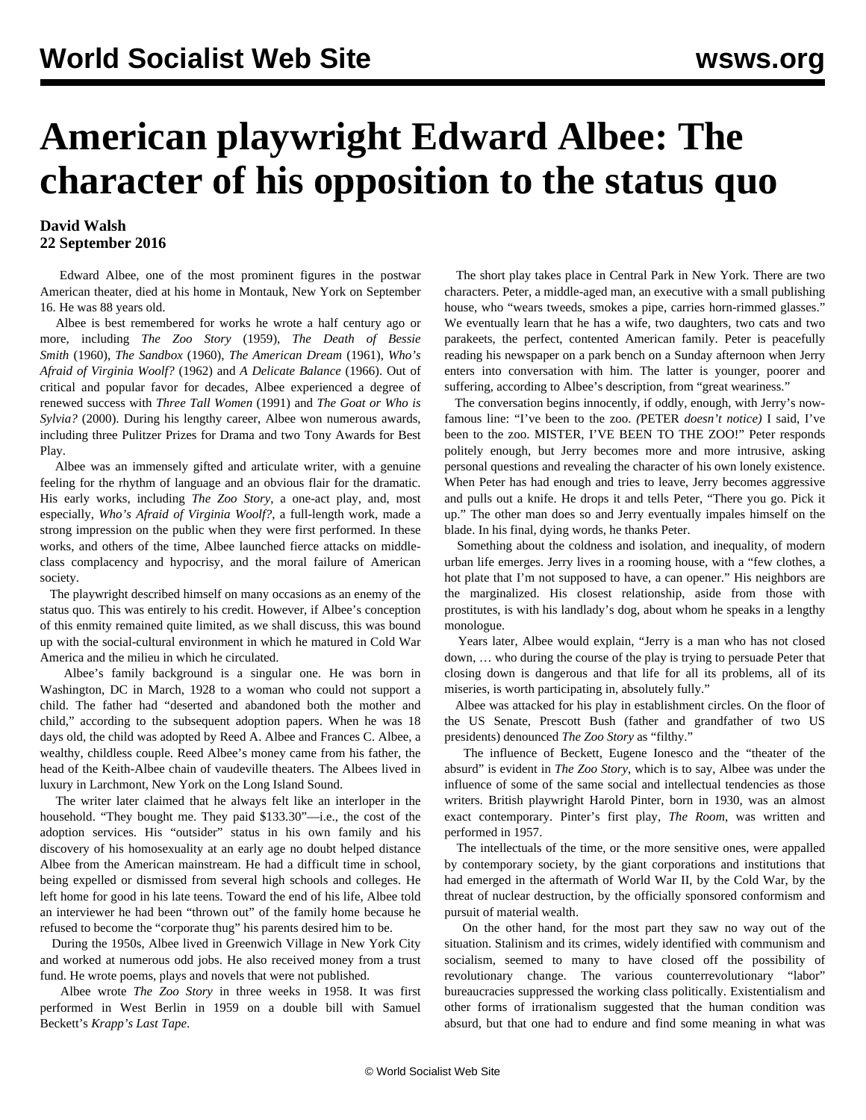## **American playwright Edward Albee: The character of his opposition to the status quo**

## **David Walsh 22 September 2016**

 Edward Albee, one of the most prominent figures in the postwar American theater, died at his home in Montauk, New York on September 16. He was 88 years old.

 Albee is best remembered for works he wrote a half century ago or more, including *The Zoo Story* (1959), *The Death of Bessie Smith* (1960), *The Sandbox* (1960), *The American Dream* (1961), *Who's Afraid of Virginia Woolf?* (1962) and *A Delicate Balance* (1966). Out of critical and popular favor for decades, Albee experienced a degree of renewed success with *Three Tall Women* (1991) and *The Goat or Who is Sylvia?* (2000). During his lengthy career, Albee won numerous awards, including three Pulitzer Prizes for Drama and two Tony Awards for Best Play.

 Albee was an immensely gifted and articulate writer, with a genuine feeling for the rhythm of language and an obvious flair for the dramatic. His early works, including *The Zoo Story*, a one-act play, and, most especially, *Who's Afraid of Virginia Woolf?*, a full-length work, made a strong impression on the public when they were first performed. In these works, and others of the time, Albee launched fierce attacks on middleclass complacency and hypocrisy, and the moral failure of American society.

 The playwright described himself on many occasions as an enemy of the status quo. This was entirely to his credit. However, if Albee's conception of this enmity remained quite limited, as we shall discuss, this was bound up with the social-cultural environment in which he matured in Cold War America and the milieu in which he circulated.

 Albee's family background is a singular one. He was born in Washington, DC in March, 1928 to a woman who could not support a child. The father had "deserted and abandoned both the mother and child," according to the subsequent adoption papers. When he was 18 days old, the child was adopted by Reed A. Albee and Frances C. Albee, a wealthy, childless couple. Reed Albee's money came from his father, the head of the Keith-Albee chain of vaudeville theaters. The Albees lived in luxury in Larchmont, New York on the Long Island Sound.

 The writer later claimed that he always felt like an interloper in the household. "They bought me. They paid \$133.30"—i.e., the cost of the adoption services. His "outsider" status in his own family and his discovery of his homosexuality at an early age no doubt helped distance Albee from the American mainstream. He had a difficult time in school, being expelled or dismissed from several high schools and colleges. He left home for good in his late teens. Toward the end of his life, Albee told an interviewer he had been "thrown out" of the family home because he refused to become the "corporate thug" his parents desired him to be.

 During the 1950s, Albee lived in Greenwich Village in New York City and worked at numerous odd jobs. He also received money from a trust fund. He wrote poems, plays and novels that were not published.

 Albee wrote *The Zoo Story* in three weeks in 1958. It was first performed in West Berlin in 1959 on a double bill with Samuel Beckett's *Krapp's Last Tape*.

 The short play takes place in Central Park in New York. There are two characters. Peter, a middle-aged man, an executive with a small publishing house, who "wears tweeds, smokes a pipe, carries horn-rimmed glasses." We eventually learn that he has a wife, two daughters, two cats and two parakeets, the perfect, contented American family. Peter is peacefully reading his newspaper on a park bench on a Sunday afternoon when Jerry enters into conversation with him. The latter is younger, poorer and suffering, according to Albee's description, from "great weariness."

 The conversation begins innocently, if oddly, enough, with Jerry's nowfamous line: "I've been to the zoo. *(*PETER *doesn't notice)* I said, I've been to the zoo. MISTER, I'VE BEEN TO THE ZOO!" Peter responds politely enough, but Jerry becomes more and more intrusive, asking personal questions and revealing the character of his own lonely existence. When Peter has had enough and tries to leave, Jerry becomes aggressive and pulls out a knife. He drops it and tells Peter, "There you go. Pick it up." The other man does so and Jerry eventually impales himself on the blade. In his final, dying words, he thanks Peter.

 Something about the coldness and isolation, and inequality, of modern urban life emerges. Jerry lives in a rooming house, with a "few clothes, a hot plate that I'm not supposed to have, a can opener." His neighbors are the marginalized. His closest relationship, aside from those with prostitutes, is with his landlady's dog, about whom he speaks in a lengthy monologue.

 Years later, Albee would explain, "Jerry is a man who has not closed down, … who during the course of the play is trying to persuade Peter that closing down is dangerous and that life for all its problems, all of its miseries, is worth participating in, absolutely fully."

 Albee was attacked for his play in establishment circles. On the floor of the US Senate, Prescott Bush (father and grandfather of two US presidents) denounced *The Zoo Story* as "filthy."

 The influence of Beckett, Eugene Ionesco and the "theater of the absurd" is evident in *The Zoo Story*, which is to say, Albee was under the influence of some of the same social and intellectual tendencies as those writers. British playwright Harold Pinter, born in 1930, was an almost exact contemporary. Pinter's first play, *The Room*, was written and performed in 1957.

 The intellectuals of the time, or the more sensitive ones, were appalled by contemporary society, by the giant corporations and institutions that had emerged in the aftermath of World War II, by the Cold War, by the threat of nuclear destruction, by the officially sponsored conformism and pursuit of material wealth.

 On the other hand, for the most part they saw no way out of the situation. Stalinism and its crimes, widely identified with communism and socialism, seemed to many to have closed off the possibility of revolutionary change. The various counterrevolutionary "labor" bureaucracies suppressed the working class politically. Existentialism and other forms of irrationalism suggested that the human condition was absurd, but that one had to endure and find some meaning in what was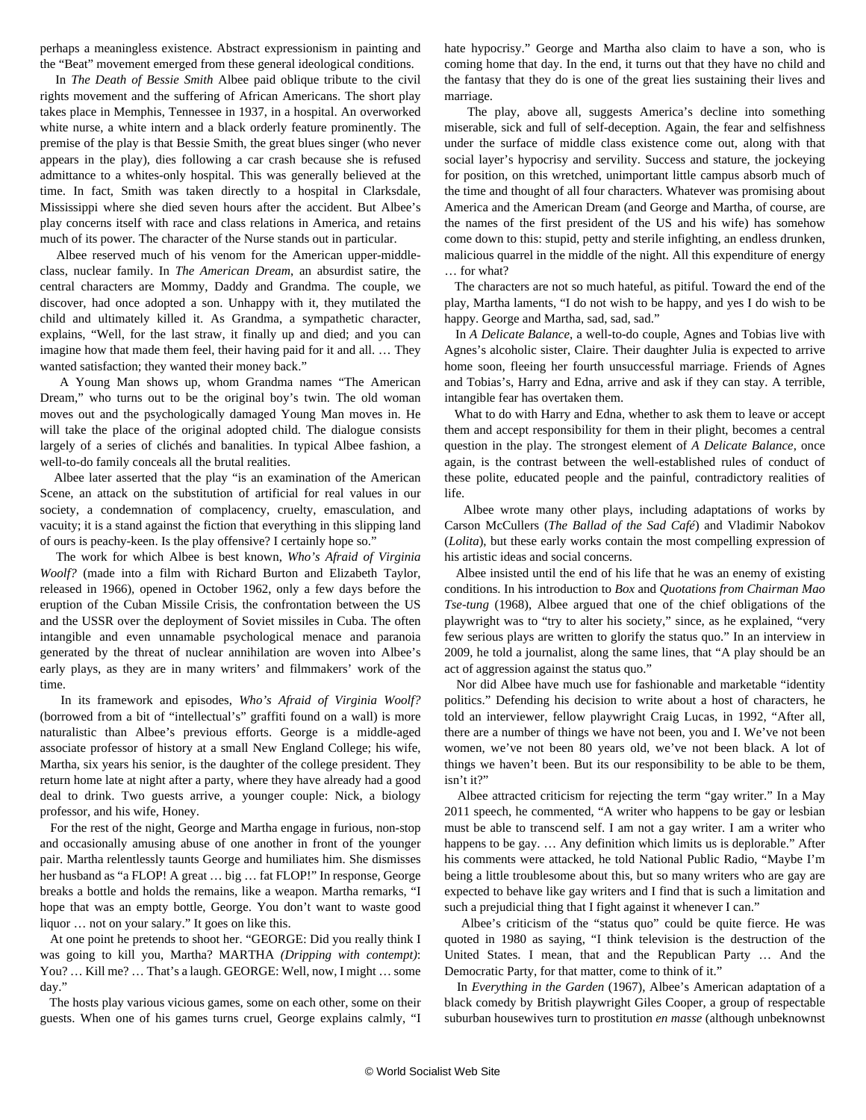perhaps a meaningless existence. Abstract expressionism in painting and the "Beat" movement emerged from these general ideological conditions.

 In *The Death of Bessie Smith* Albee paid oblique tribute to the civil rights movement and the suffering of African Americans. The short play takes place in Memphis, Tennessee in 1937, in a hospital. An overworked white nurse, a white intern and a black orderly feature prominently. The premise of the play is that Bessie Smith, the great blues singer (who never appears in the play), dies following a car crash because she is refused admittance to a whites-only hospital. This was generally believed at the time. In fact, Smith was taken directly to a hospital in Clarksdale, Mississippi where she died seven hours after the accident. But Albee's play concerns itself with race and class relations in America, and retains much of its power. The character of the Nurse stands out in particular.

 Albee reserved much of his venom for the American upper-middleclass, nuclear family. In *The American Dream*, an absurdist satire, the central characters are Mommy, Daddy and Grandma. The couple, we discover, had once adopted a son. Unhappy with it, they mutilated the child and ultimately killed it. As Grandma, a sympathetic character, explains, "Well, for the last straw, it finally up and died; and you can imagine how that made them feel, their having paid for it and all. … They wanted satisfaction; they wanted their money back."

 A Young Man shows up, whom Grandma names "The American Dream," who turns out to be the original boy's twin. The old woman moves out and the psychologically damaged Young Man moves in. He will take the place of the original adopted child. The dialogue consists largely of a series of clichés and banalities. In typical Albee fashion, a well-to-do family conceals all the brutal realities.

 Albee later asserted that the play "is an examination of the American Scene, an attack on the substitution of artificial for real values in our society, a condemnation of complacency, cruelty, emasculation, and vacuity; it is a stand against the fiction that everything in this slipping land of ours is peachy-keen. Is the play offensive? I certainly hope so."

 The work for which Albee is best known, *Who's Afraid of Virginia Woolf?* (made into a film with Richard Burton and Elizabeth Taylor, released in 1966)*,* opened in October 1962, only a few days before the eruption of the Cuban Missile Crisis, the confrontation between the US and the USSR over the deployment of Soviet missiles in Cuba. The often intangible and even unnamable psychological menace and paranoia generated by the threat of nuclear annihilation are woven into Albee's early plays, as they are in many writers' and filmmakers' work of the time.

 In its framework and episodes, *Who's Afraid of Virginia Woolf?* (borrowed from a bit of "intellectual's" graffiti found on a wall) is more naturalistic than Albee's previous efforts. George is a middle-aged associate professor of history at a small New England College; his wife, Martha, six years his senior, is the daughter of the college president. They return home late at night after a party, where they have already had a good deal to drink. Two guests arrive, a younger couple: Nick, a biology professor, and his wife, Honey.

 For the rest of the night, George and Martha engage in furious, non-stop and occasionally amusing abuse of one another in front of the younger pair. Martha relentlessly taunts George and humiliates him. She dismisses her husband as "a FLOP! A great ... big ... fat FLOP!" In response, George breaks a bottle and holds the remains, like a weapon. Martha remarks, "I hope that was an empty bottle, George. You don't want to waste good liquor … not on your salary." It goes on like this.

 At one point he pretends to shoot her. "GEORGE: Did you really think I was going to kill you, Martha? MARTHA *(Dripping with contempt)*: You? ... Kill me? ... That's a laugh. GEORGE: Well, now, I might ... some day."

 The hosts play various vicious games, some on each other, some on their guests. When one of his games turns cruel, George explains calmly, "I hate hypocrisy." George and Martha also claim to have a son, who is coming home that day. In the end, it turns out that they have no child and the fantasy that they do is one of the great lies sustaining their lives and marriage.

 The play, above all, suggests America's decline into something miserable, sick and full of self-deception. Again, the fear and selfishness under the surface of middle class existence come out, along with that social layer's hypocrisy and servility. Success and stature, the jockeying for position, on this wretched, unimportant little campus absorb much of the time and thought of all four characters. Whatever was promising about America and the American Dream (and George and Martha, of course, are the names of the first president of the US and his wife) has somehow come down to this: stupid, petty and sterile infighting, an endless drunken, malicious quarrel in the middle of the night. All this expenditure of energy … for what?

 The characters are not so much hateful, as pitiful. Toward the end of the play, Martha laments, "I do not wish to be happy, and yes I do wish to be happy. George and Martha, sad, sad, sad."

 In *A Delicate Balance*, a well-to-do couple, Agnes and Tobias live with Agnes's alcoholic sister, Claire. Their daughter Julia is expected to arrive home soon, fleeing her fourth unsuccessful marriage. Friends of Agnes and Tobias's, Harry and Edna, arrive and ask if they can stay. A terrible, intangible fear has overtaken them.

 What to do with Harry and Edna, whether to ask them to leave or accept them and accept responsibility for them in their plight, becomes a central question in the play. The strongest element of *A Delicate Balance*, once again, is the contrast between the well-established rules of conduct of these polite, educated people and the painful, contradictory realities of life.

 Albee wrote many other plays, including adaptations of works by Carson McCullers (*The Ballad of the Sad Café*) and Vladimir Nabokov (*Lolita*), but these early works contain the most compelling expression of his artistic ideas and social concerns.

 Albee insisted until the end of his life that he was an enemy of existing conditions. In his introduction to *Box* and *Quotations from Chairman Mao Tse-tung* (1968), Albee argued that one of the chief obligations of the playwright was to "try to alter his society," since, as he explained, "very few serious plays are written to glorify the status quo." In an interview in 2009, he told a journalist, along the same lines, that "A play should be an act of aggression against the status quo."

 Nor did Albee have much use for fashionable and marketable "identity politics." Defending his decision to write about a host of characters, he told an interviewer, fellow playwright Craig Lucas, in 1992, "After all, there are a number of things we have not been, you and I. We've not been women, we've not been 80 years old, we've not been black. A lot of things we haven't been. But its our responsibility to be able to be them, isn't it?"

 Albee attracted criticism for rejecting the term "gay writer." In a May 2011 speech, he commented, "A writer who happens to be gay or lesbian must be able to transcend self. I am not a gay writer. I am a writer who happens to be gay. … Any definition which limits us is deplorable." After his comments were attacked, he told National Public Radio, "Maybe I'm being a little troublesome about this, but so many writers who are gay are expected to behave like gay writers and I find that is such a limitation and such a prejudicial thing that I fight against it whenever I can."

 Albee's criticism of the "status quo" could be quite fierce. He was quoted in 1980 as saying, "I think television is the destruction of the United States. I mean, that and the Republican Party … And the Democratic Party, for that matter, come to think of it."

 In *Everything in the Garden* (1967), Albee's American adaptation of a black comedy by British playwright Giles Cooper, a group of respectable suburban housewives turn to prostitution *en masse* (although unbeknownst